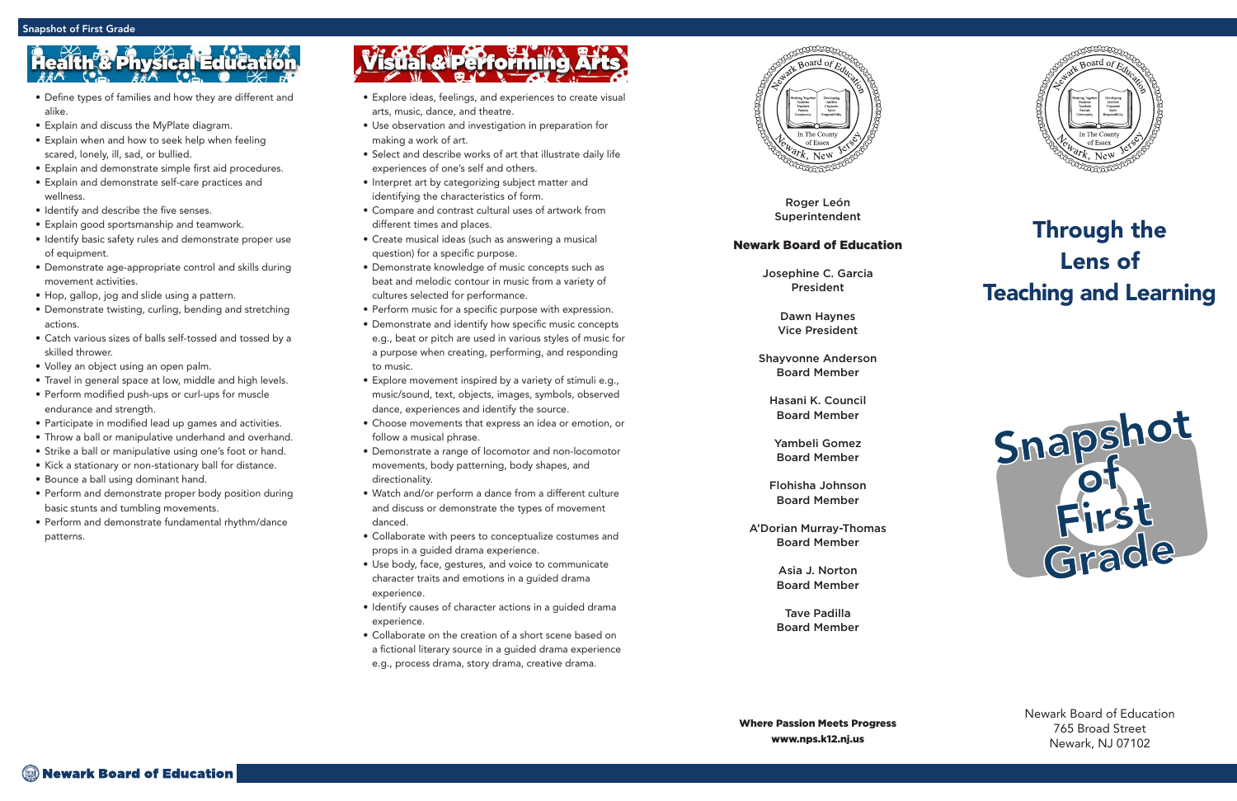Roger León Superintendent

### Newark Board of Education

Josephine C. Garcia President

> Dawn Haynes Vice President

Shayvonne Anderson Board Member

Hasani K. Council Board Member

Yambeli Gomez Board Member

Flohisha Johnson Board Member

A'Dorian Murray-Thomas Board Member

> Asia J. Norton Board Member

> Tave Padilla Board Member



## Through the Lens of Teaching and Learning



Newark Board of Education 765 Broad Street Newark, NJ 07102

- Explore ideas, feelings, and experiences to create visual arts, music, dance, and theatre.
- Use observation and investigation in preparation for making a work of art.
- Select and describe works of art that illustrate daily life experiences of one's self and others.
- Interpret art by categorizing subject matter and identifying the characteristics of form.
- Compare and contrast cultural uses of artwork from different times and places.
- Create musical ideas (such as answering a musical question) for a specific purpose.
- Demonstrate knowledge of music concepts such as beat and melodic contour in music from a variety of cultures selected for performance.
- Perform music for a specific purpose with expression.
- Demonstrate and identify how specific music concepts e.g., beat or pitch are used in various styles of music for a purpose when creating, performing, and responding to music.
- Explore movement inspired by a variety of stimuli e.g., music/sound, text, objects, images, symbols, observed dance, experiences and identify the source.
- Choose movements that express an idea or emotion, or follow a musical phrase.
- Demonstrate a range of locomotor and non-locomotor movements, body patterning, body shapes, and directionality.
- Watch and/or perform a dance from a different culture and discuss or demonstrate the types of movement danced.
- Collaborate with peers to conceptualize costumes and props in a guided drama experience.
- Use body, face, gestures, and voice to communicate character traits and emotions in a guided drama experience.
- Identify causes of character actions in a guided drama experience.
- Collaborate on the creation of a short scene based on a fictional literary source in a guided drama experience e.g., process drama, story drama, creative drama.



- Define types of families and how they are different and alike.
- Explain and discuss the MyPlate diagram.
- Explain when and how to seek help when feeling scared, lonely, ill, sad, or bullied.
- Explain and demonstrate simple first aid procedures.
- Explain and demonstrate self-care practices and wellness.
- Identify and describe the five senses.
- Explain good sportsmanship and teamwork.
- Identify basic safety rules and demonstrate proper use of equipment.
- Demonstrate age-appropriate control and skills during movement activities.
- Hop, gallop, jog and slide using a pattern.
- Demonstrate twisting, curling, bending and stretching actions.
- Catch various sizes of balls self-tossed and tossed by a skilled thrower.
- Volley an object using an open palm.
- Travel in general space at low, middle and high levels.
- Perform modified push-ups or curl-ups for muscle endurance and strength.
- Participate in modified lead up games and activities.
- Throw a ball or manipulative underhand and overhand.
- Strike a ball or manipulative using one's foot or hand.
- Kick a stationary or non-stationary ball for distance.
- Bounce a ball using dominant hand.
- Perform and demonstrate proper body position during basic stunts and tumbling movements.
- Perform and demonstrate fundamental rhythm/dance patterns.

# isual.&iperforming